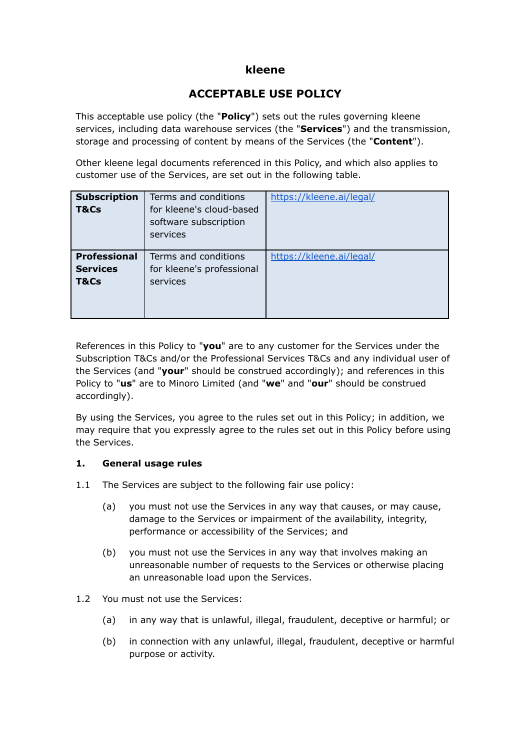## **kleene**

# **ACCEPTABLE USE POLICY**

This acceptable use policy (the "**Policy**") sets out the rules governing kleene services, including data warehouse services (the "**Services**") and the transmission, storage and processing of content by means of the Services (the "**Content**").

Other kleene legal documents referenced in this Policy, and which also applies to customer use of the Services, are set out in the following table.

| <b>Subscription</b><br>T&Cs                    | Terms and conditions<br>for kleene's cloud-based<br>software subscription<br>services | https://kleene.ai/legal/ |
|------------------------------------------------|---------------------------------------------------------------------------------------|--------------------------|
| <b>Professional</b><br><b>Services</b><br>T&Cs | Terms and conditions<br>for kleene's professional<br>services                         | https://kleene.ai/legal/ |

References in this Policy to "**you**" are to any customer for the Services under the Subscription T&Cs and/or the Professional Services T&Cs and any individual user of the Services (and "**your**" should be construed accordingly); and references in this Policy to "**us**" are to Minoro Limited (and "**we**" and "**our**" should be construed accordingly).

By using the Services, you agree to the rules set out in this Policy; in addition, we may require that you expressly agree to the rules set out in this Policy before using the Services.

### **1. General usage rules**

- 1.1 The Services are subject to the following fair use policy:
	- (a) you must not use the Services in any way that causes, or may cause, damage to the Services or impairment of the availability, integrity, performance or accessibility of the Services; and
	- (b) you must not use the Services in any way that involves making an unreasonable number of requests to the Services or otherwise placing an unreasonable load upon the Services.
- 1.2 You must not use the Services:
	- (a) in any way that is unlawful, illegal, fraudulent, deceptive or harmful; or
	- (b) in connection with any unlawful, illegal, fraudulent, deceptive or harmful purpose or activity.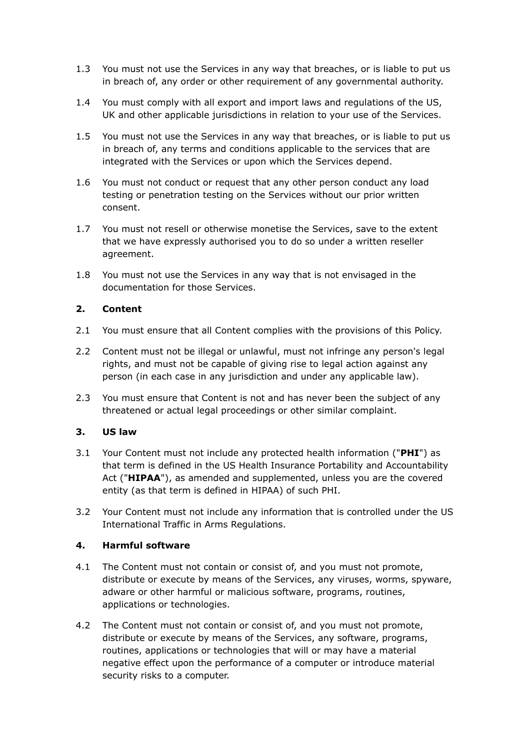- 1.3 You must not use the Services in any way that breaches, or is liable to put us in breach of, any order or other requirement of any governmental authority.
- 1.4 You must comply with all export and import laws and regulations of the US, UK and other applicable jurisdictions in relation to your use of the Services.
- 1.5 You must not use the Services in any way that breaches, or is liable to put us in breach of, any terms and conditions applicable to the services that are integrated with the Services or upon which the Services depend.
- 1.6 You must not conduct or request that any other person conduct any load testing or penetration testing on the Services without our prior written consent.
- 1.7 You must not resell or otherwise monetise the Services, save to the extent that we have expressly authorised you to do so under a written reseller agreement.
- 1.8 You must not use the Services in any way that is not envisaged in the documentation for those Services.

### **2. Content**

- 2.1 You must ensure that all Content complies with the provisions of this Policy.
- 2.2 Content must not be illegal or unlawful, must not infringe any person's legal rights, and must not be capable of giving rise to legal action against any person (in each case in any jurisdiction and under any applicable law).
- 2.3 You must ensure that Content is not and has never been the subject of any threatened or actual legal proceedings or other similar complaint.

### **3. US law**

- 3.1 Your Content must not include any protected health information ("**PHI**") as that term is defined in the US Health Insurance Portability and Accountability Act ("**HIPAA**"), as amended and supplemented, unless you are the covered entity (as that term is defined in HIPAA) of such PHI.
- 3.2 Your Content must not include any information that is controlled under the US International Traffic in Arms Regulations.

### **4. Harmful software**

- 4.1 The Content must not contain or consist of, and you must not promote, distribute or execute by means of the Services, any viruses, worms, spyware, adware or other harmful or malicious software, programs, routines, applications or technologies.
- 4.2 The Content must not contain or consist of, and you must not promote, distribute or execute by means of the Services, any software, programs, routines, applications or technologies that will or may have a material negative effect upon the performance of a computer or introduce material security risks to a computer.